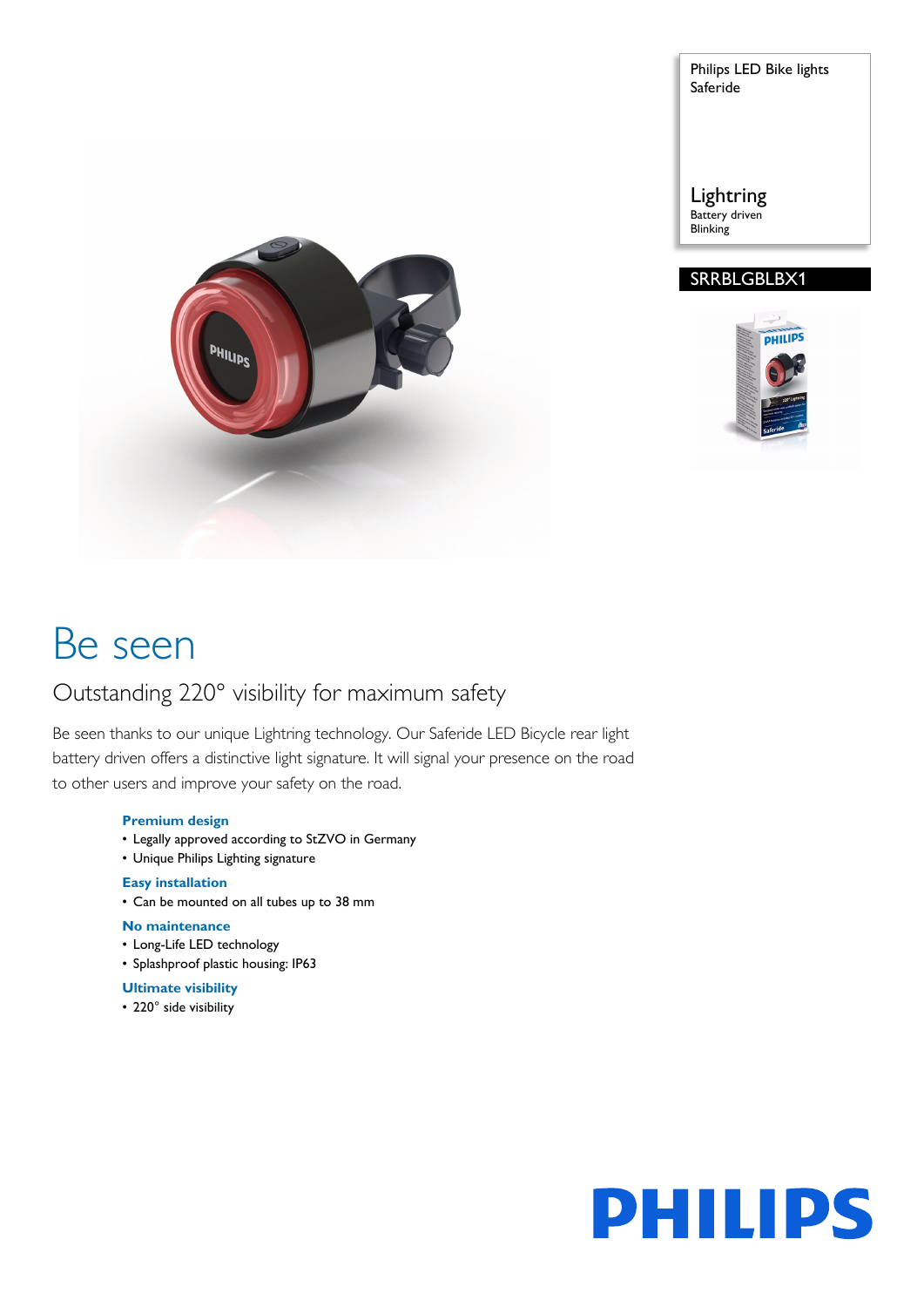Philips LED Bike lights Saferide

Lightring Battery driven **Blinking** 

# SRRBLGBLBX1





# Be seen

# Outstanding 220° visibility for maximum safety

Be seen thanks to our unique Lightring technology. Our Saferide LED Bicycle rear light battery driven offers a distinctive light signature. It will signal your presence on the road to other users and improve your safety on the road.

### **Premium design**

- Legally approved according to StZVO in Germany
- Unique Philips Lighting signature

### **Easy installation**

• Can be mounted on all tubes up to 38 mm

# **No maintenance**

- Long-Life LED technology
- Splashproof plastic housing: IP63

### **Ultimate visibility**

• 220° side visibility